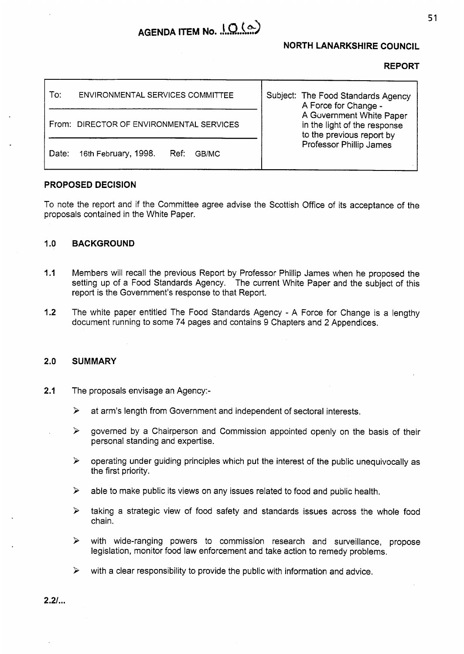# AGENDA ITEM No. 10(a)

## **NORTH LANARKSHIRE COUNCIL**

### **REPORT**

| To:<br>ENVIRONMENTAL SERVICES COMMITTEE        | Subject: The Food Standards Agency<br>A Force for Change -<br>A Government White Paper<br>in the light of the response<br>to the previous report by<br>Professor Phillip James |
|------------------------------------------------|--------------------------------------------------------------------------------------------------------------------------------------------------------------------------------|
| From: DIRECTOR OF ENVIRONMENTAL SERVICES       |                                                                                                                                                                                |
| 16th February, 1998.<br>Date:<br>Ref:<br>GB/MC |                                                                                                                                                                                |

### **PROPOSED DECISION**

To note the report and if the Committee agree advise the Scottish Office of its acceptance of the proposals contained in the White Paper.

### **I** .o **BACKGROUND**

- **I** .I Members will recall the previous Report by Professor Phillip James when he proposed the setting up of a Food Standards Agency. The current White Paper and the subject of this report is the Government's response to that Report.
- **1.2**  The white paper entitled The Food Standards Agency - **A** Force for Change is a lengthy document running to some 74 pages and contains 9 Chapters and 2 Appendices.

#### **2.0 SUMMARY**

- **2.1**  The proposals envisage an Agency:-
	- $\blacktriangleright$ at arm's length from Government and independent of sectoral interests.
	- $\blacktriangleright$ governed by a Chairperson and Commission appointed openly on the basis of their personal standing and expertise.
	- $\blacktriangleright$ operating under guiding principles which put the interest of the public unequivocally as the first priority.
	- $\blacktriangleright$ able to make public its views on any issues related to food and public health.
	- taking a strategic view of food safety and standards issues across the whole food  $\blacktriangleright$ chain.
	- $\blacktriangleright$ with wide-ranging powers to commission research and surveillance, propose legislation, monitor food law enforcement and take action to remedy problems.
	- $\blacktriangleright$ with a clear responsibility to provide the public with information and advice.

**2.21..** .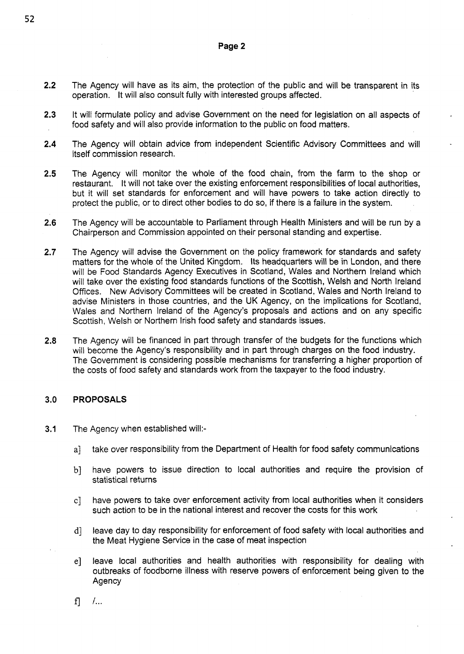### **Page 2**

- **2.2**  The Agency will have as its aim, the protection of the public and will be transparent in its operation. It will also consult fully with interested groups affected.
- **2.3**  It will formulate policy and advise Government on the need for legislation on all aspects of food safety and will also provide information to the public on food matters.
- **2.4**  The Agency will obtain advice from independent Scientific Advisory Committees and will itself commission research.
- **2.5**  The Agency will monitor the whole of the food chain, from the farm to the shop or restaurant. It will not take over the existing enforcement responsibilities of local authorities, but it will set standards for enforcement and will have powers to take action directly to protect the public, or to direct other bodies to do so, if there is a failure in the system.
- **2.6**  The Agency will be accountable to Parliament through Health Ministers and will be run by a Chairperson and Commission appointed on their personal standing and expertise.
- **2.7**  The Agency will advise the Government on the policy framework for standards and safety matters for the whole of the United Kingdom. Its headquarters will be in London, and there will be Food Standards Agency Executives in Scotland, Wales and Northern Ireland which will take over the existing food standards functions of the Scottish, Welsh and North Ireland Offices. New Advisory Committees will be created in Scotland, Wales and North Ireland to advise Ministers in those countries, and the UK Agency, on the implications for Scotland, Wales and Northern Ireland of the Agency's proposals and actions and on any specific Scottish, Welsh or Northern Irish food safety and standards issues.
- **2.8**  The Agency will be financed in part through transfer of the budgets for the functions which will become the Agency's responsibility and in part through charges on the food industry. The Government is considering possible mechanisms for transferring a higher proportion of the costs of food safety and standards work from the taxpayer to the food industry.

#### **3.0 PROPOSALS**

- **3.1**  The Agency when established will:
	- take over responsibility from the Department of Health for food safety communications a]
	- $b$ ] have powers to issue direction to local authorities and require the provision of statistical returns
	- $c$ ] have powers to take over enforcement activity from local authorities when it considers such action to be in the national interest and recover the costs for this work
	- leave day to day responsibility for enforcement of food safety with local authorities and d] the Meat Hygiene Service in the case of meat inspection
	- leave local authorities and health authorities with responsibility for dealing with  $e$ ] outbreaks of foodborne illness with reserve powers of enforcement being given to the **Agency**

 $f$ *I...*